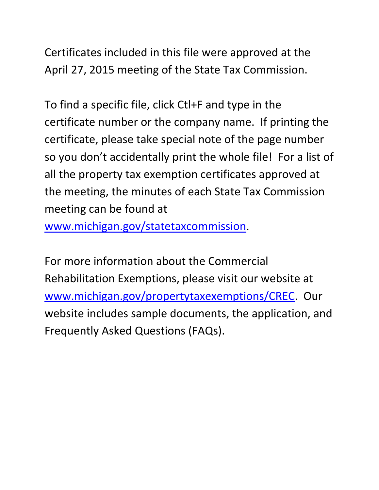Certificates included in this file were approved at the April 27, 2015 meeting of the State Tax Commission.

To find a specific file, click Ctl+F and type in the certificate number or the company name. If printing the certificate, please take special note of the page number so you don't accidentally print the whole file! For a list of all the property tax exemption certificates approved at the meeting, the minutes of each State Tax Commission meeting can be found at

www.michigan.gov/statetaxcommission.

For more information about the Commercial Rehabilitation Exemptions, please visit our website at www.michigan.gov/propertytaxexemptions/CREC. Our website includes sample documents, the application, and Frequently Asked Questions (FAQs).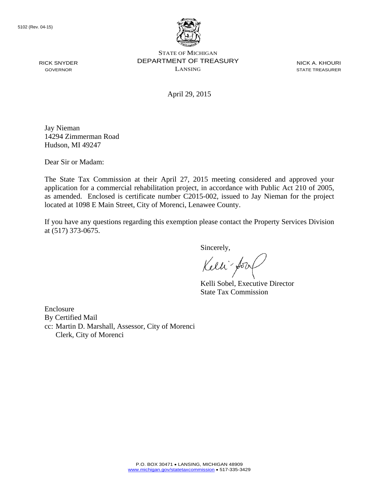RICK SNYDER GOVERNOR



STATE OF MICHIGAN DEPARTMENT OF TREASURY LANSING

NICK A. KHOURI STATE TREASURER

April 29, 2015

Jay Nieman 14294 Zimmerman Road Hudson, MI 49247

Dear Sir or Madam:

The State Tax Commission at their April 27, 2015 meeting considered and approved your application for a commercial rehabilitation project, in accordance with Public Act 210 of 2005, as amended. Enclosed is certificate number C2015-002, issued to Jay Nieman for the project located at 1098 E Main Street, City of Morenci, Lenawee County.

If you have any questions regarding this exemption please contact the Property Services Division at (517) 373-0675.

Sincerely,

Kelli'y

Kelli Sobel, Executive Director State Tax Commission

Enclosure By Certified Mail cc: Martin D. Marshall, Assessor, City of Morenci Clerk, City of Morenci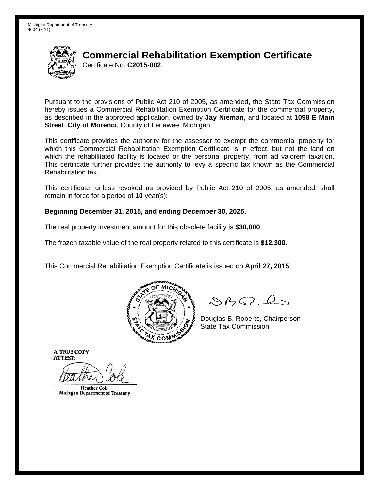

# **Commercial Rehabilitation Exemption Certificate** Certificate No. C2015-002

Pursuant to the provisions of Public Act 210 of 2005, as amended, the State Tax Commission hereby issues a Commercial Rehabilitation Exemption Certificate for the commercial property. as described in the approved application, owned by Jay Nieman, and located at 1098 E Main Street, City of Morenci, County of Lenawee, Michigan.

This certificate provides the authority for the assessor to exempt the commercial property for which this Commercial Rehabilitation Exemption Certificate is in effect, but not the land on which the rehabilitated facility is located or the personal property, from ad valorem taxation. This certificate further provides the authority to levy a specific tax known as the Commercial Rehabilitation tax.

This certificate, unless revoked as provided by Public Act 210 of 2005, as amended, shall remain in force for a period of  $10$  year(s);

#### Beginning December 31, 2015, and ending December 30, 2025.

The real property investment amount for this obsolete facility is \$30,000.

The frozen taxable value of the real property related to this certificate is \$12,300.

This Commercial Rehabilitation Exemption Certificate is issued on April 27, 2015.



 $\mathcal{S}$ B $\mathcal{G}$ 

Douglas B. Roberts, Chairperson **State Tax Commission** 

**A TRUE COPY ATTEST:** 

**Heather Cole** Michigan Department of Treasury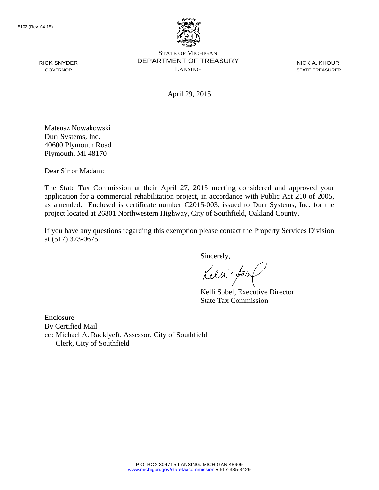RICK SNYDER GOVERNOR



STATE OF MICHIGAN DEPARTMENT OF TREASURY LANSING

NICK A. KHOURI STATE TREASURER

April 29, 2015

Mateusz Nowakowski Durr Systems, Inc. 40600 Plymouth Road Plymouth, MI 48170

Dear Sir or Madam:

The State Tax Commission at their April 27, 2015 meeting considered and approved your application for a commercial rehabilitation project, in accordance with Public Act 210 of 2005, as amended. Enclosed is certificate number C2015-003, issued to Durr Systems, Inc. for the project located at 26801 Northwestern Highway, City of Southfield, Oakland County.

If you have any questions regarding this exemption please contact the Property Services Division at (517) 373-0675.

Sincerely,

Kelli for

Kelli Sobel, Executive Director State Tax Commission

Enclosure By Certified Mail cc: Michael A. Racklyeft, Assessor, City of Southfield Clerk, City of Southfield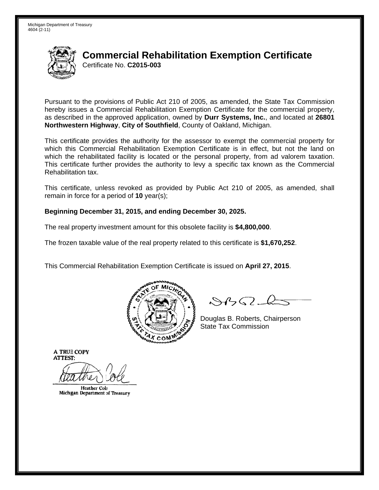

# **Commercial Rehabilitation Exemption Certificate** Certificate No. C2015-003

Pursuant to the provisions of Public Act 210 of 2005, as amended, the State Tax Commission hereby issues a Commercial Rehabilitation Exemption Certificate for the commercial property, as described in the approved application, owned by Durr Systems, Inc., and located at 26801 Northwestern Highway, City of Southfield, County of Oakland, Michigan.

This certificate provides the authority for the assessor to exempt the commercial property for which this Commercial Rehabilitation Exemption Certificate is in effect, but not the land on which the rehabilitated facility is located or the personal property, from ad valorem taxation. This certificate further provides the authority to levy a specific tax known as the Commercial Rehabilitation tax.

This certificate, unless revoked as provided by Public Act 210 of 2005, as amended, shall remain in force for a period of  $10$  year(s);

#### Beginning December 31, 2015, and ending December 30, 2025.

The real property investment amount for this obsolete facility is \$4,800,000.

The frozen taxable value of the real property related to this certificate is \$1,670,252.

This Commercial Rehabilitation Exemption Certificate is issued on April 27, 2015.



 $\mathcal{S}$ B $\mathcal{G}$ 

Douglas B. Roberts, Chairperson **State Tax Commission** 

**A TRUE COPY ATTEST:** 

**Heather Cole** Michigan Department of Treasury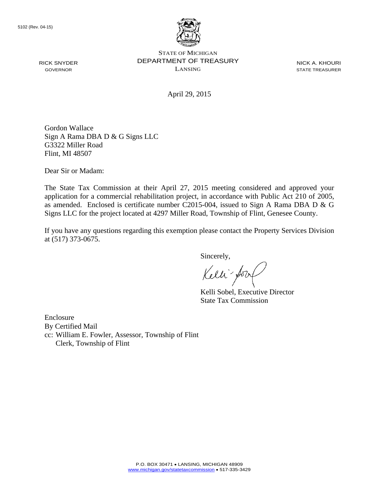RICK SNYDER GOVERNOR



STATE OF MICHIGAN DEPARTMENT OF TREASURY LANSING

NICK A. KHOURI STATE TREASURER

April 29, 2015

Gordon Wallace Sign A Rama DBA D & G Signs LLC G3322 Miller Road Flint, MI 48507

Dear Sir or Madam:

The State Tax Commission at their April 27, 2015 meeting considered and approved your application for a commercial rehabilitation project, in accordance with Public Act 210 of 2005, as amended. Enclosed is certificate number C2015-004, issued to Sign A Rama DBA D & G Signs LLC for the project located at 4297 Miller Road, Township of Flint, Genesee County.

If you have any questions regarding this exemption please contact the Property Services Division at (517) 373-0675.

Sincerely,

Kelli for

Kelli Sobel, Executive Director State Tax Commission

Enclosure By Certified Mail cc: William E. Fowler, Assessor, Township of Flint Clerk, Township of Flint